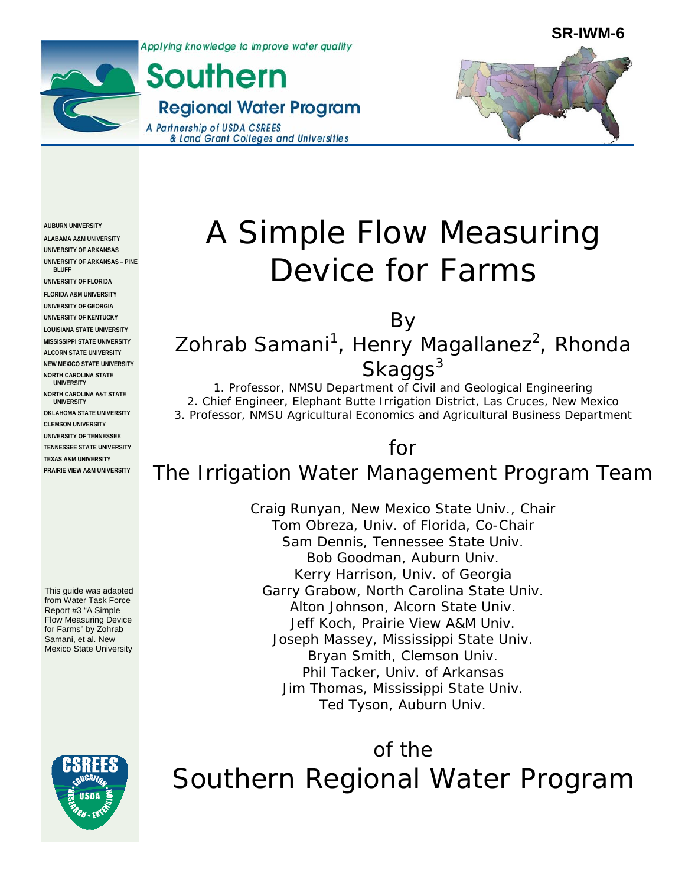Applying knowledge to improve water quality





**Southern Regional Water Program** A Partnership of USDA CSREES & Land Grant Colleges and Universities  $\overline{a}$ 



**AUBURN UNIVERSITY ALABAMA A&M UNIVERSITY UNIVERSITY OF ARKANSAS UNIVERSITY OF ARKANSAS – PINE BLUFF** 

**UNIVERSITY OF FLORIDA FLORIDA A&M UNIVERSITY UNIVERSITY OF GEORGIA UNIVERSITY OF KENTUCKY LOUISIANA STATE UNIVERSITY MISSISSIPPI STATE UNIVERSITY ALCORN STATE UNIVERSITY NEW MEXICO STATE UNIVERSITY NORTH CAROLINA STATE UNIVERSITY** 

**NORTH CAROLINA A&T STATE UNIVERSITY OKLAHOMA STATE UNIVERSITY CLEMSON UNIVERSITY UNIVERSITY OF TENNESSEE TENNESSEE STATE UNIVERSITY TEXAS A&M UNIVERSITY PRAIRIE VIEW A&M UNIVERSITY** 

This guide was adapted from Water Task Force Report #3 "A Simple Flow Measuring Device for Farms" by Zohrab Samani, et al. New Mexico State University

# A Simple Flow Measuring Device for Farms

By Zohrab Samani<sup>1</sup>, Henry Magallanez<sup>2</sup>, Rhonda Skaggs<sup>3</sup>

1. Professor, NMSU Department of Civil and Geological Engineering 2. Chief Engineer, Elephant Butte Irrigation District, Las Cruces, New Mexico 3. Professor, NMSU Agricultural Economics and Agricultural Business Department

# for

# The Irrigation Water Management Program Team

Craig Runyan, New Mexico State Univ., Chair Tom Obreza, Univ. of Florida, Co-Chair Sam Dennis, Tennessee State Univ. Bob Goodman, Auburn Univ. Kerry Harrison, Univ. of Georgia Garry Grabow, North Carolina State Univ. Alton Johnson, Alcorn State Univ. Jeff Koch, Prairie View A&M Univ. Joseph Massey, Mississippi State Univ. Bryan Smith, Clemson Univ. Phil Tacker, Univ. of Arkansas Jim Thomas, Mississippi State Univ. Ted Tyson, Auburn Univ.

of the Southern Regional Water Program

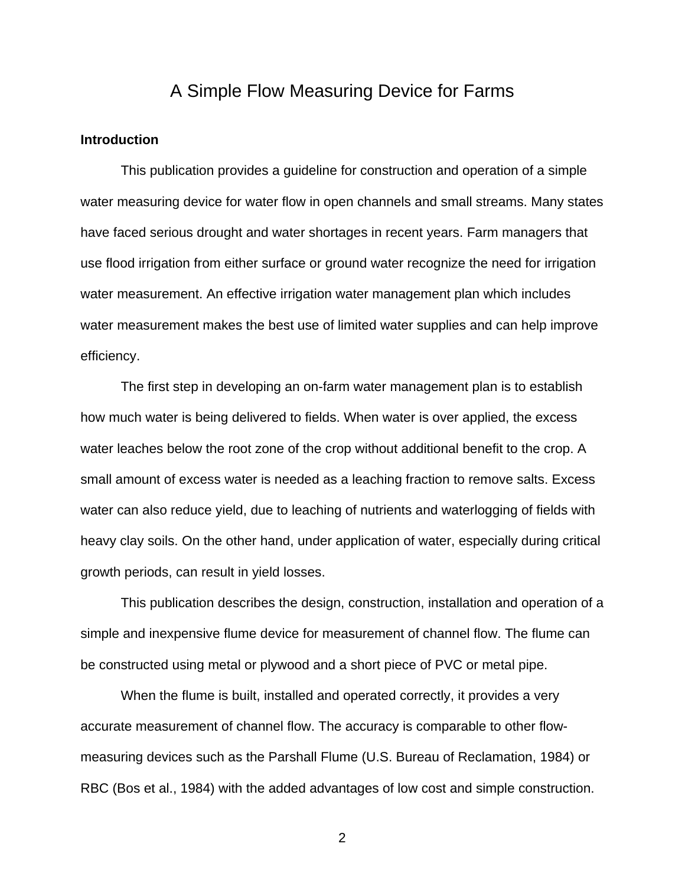# A Simple Flow Measuring Device for Farms

#### **Introduction**

 This publication provides a guideline for construction and operation of a simple water measuring device for water flow in open channels and small streams. Many states have faced serious drought and water shortages in recent years. Farm managers that use flood irrigation from either surface or ground water recognize the need for irrigation water measurement. An effective irrigation water management plan which includes water measurement makes the best use of limited water supplies and can help improve efficiency.

 The first step in developing an on-farm water management plan is to establish how much water is being delivered to fields. When water is over applied, the excess water leaches below the root zone of the crop without additional benefit to the crop. A small amount of excess water is needed as a leaching fraction to remove salts. Excess water can also reduce yield, due to leaching of nutrients and waterlogging of fields with heavy clay soils. On the other hand, under application of water, especially during critical growth periods, can result in yield losses.

 This publication describes the design, construction, installation and operation of a simple and inexpensive flume device for measurement of channel flow. The flume can be constructed using metal or plywood and a short piece of PVC or metal pipe.

 When the flume is built, installed and operated correctly, it provides a very accurate measurement of channel flow. The accuracy is comparable to other flowmeasuring devices such as the Parshall Flume (U.S. Bureau of Reclamation, 1984) or RBC (Bos et al., 1984) with the added advantages of low cost and simple construction.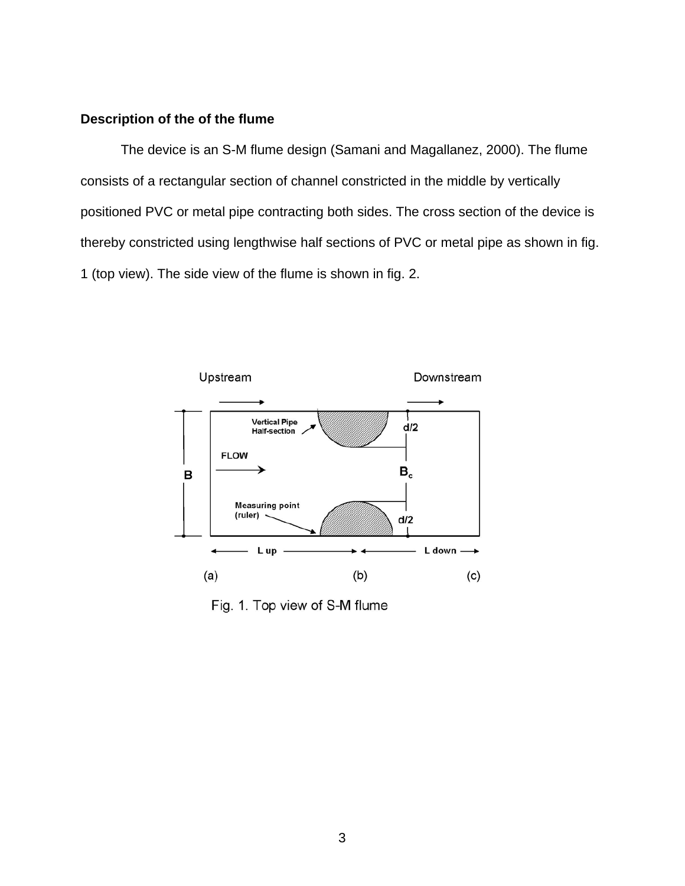# **Description of the of the flume**

 The device is an S-M flume design (Samani and Magallanez, 2000). The flume consists of a rectangular section of channel constricted in the middle by vertically positioned PVC or metal pipe contracting both sides. The cross section of the device is thereby constricted using lengthwise half sections of PVC or metal pipe as shown in fig. 1 (top view). The side view of the flume is shown in fig. 2.



Fig. 1. Top view of S-M flume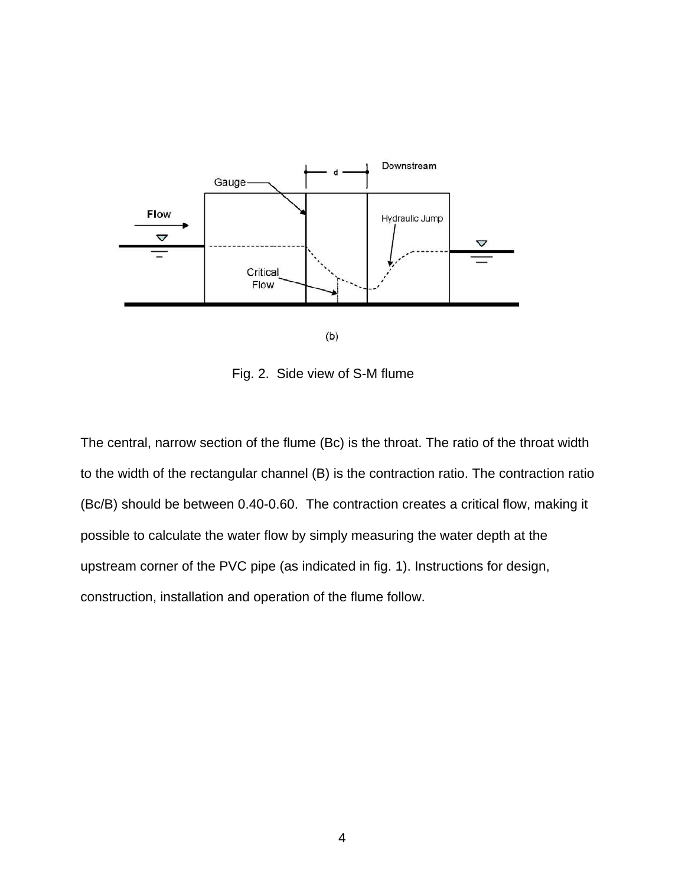

Fig. 2. Side view of S-M flume

The central, narrow section of the flume (Bc) is the throat. The ratio of the throat width to the width of the rectangular channel (B) is the contraction ratio. The contraction ratio (Bc/B) should be between 0.40-0.60. The contraction creates a critical flow, making it possible to calculate the water flow by simply measuring the water depth at the upstream corner of the PVC pipe (as indicated in fig. 1). Instructions for design, construction, installation and operation of the flume follow.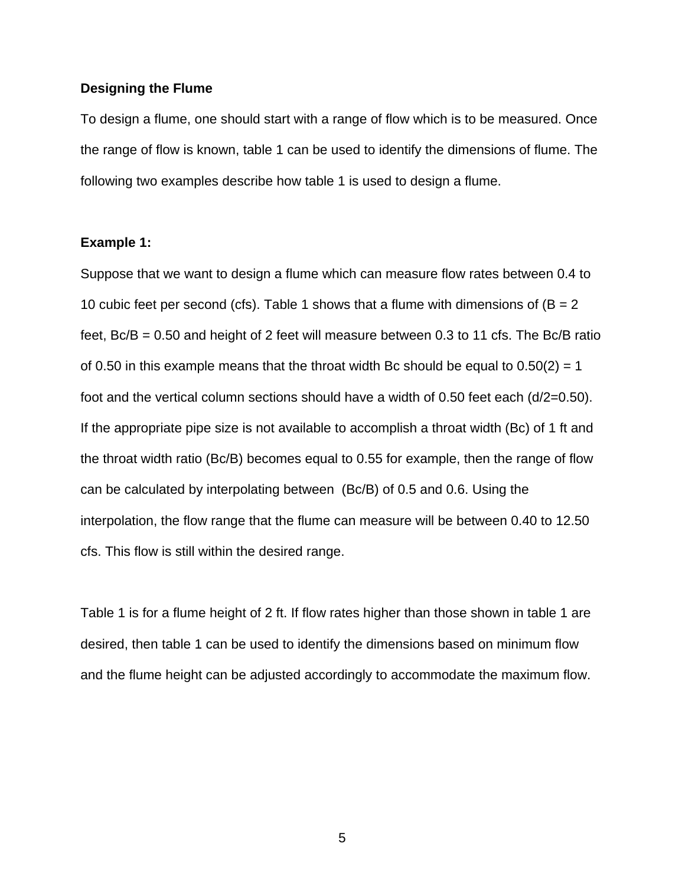#### **Designing the Flume**

To design a flume, one should start with a range of flow which is to be measured. Once the range of flow is known, table 1 can be used to identify the dimensions of flume. The following two examples describe how table 1 is used to design a flume.

#### **Example 1:**

Suppose that we want to design a flume which can measure flow rates between 0.4 to 10 cubic feet per second (cfs). Table 1 shows that a flume with dimensions of  $(B = 2)$ feet,  $Bc/B = 0.50$  and height of 2 feet will measure between 0.3 to 11 cfs. The Bc/B ratio of 0.50 in this example means that the throat width Bc should be equal to  $0.50(2) = 1$ foot and the vertical column sections should have a width of 0.50 feet each (d/2=0.50). If the appropriate pipe size is not available to accomplish a throat width (Bc) of 1 ft and the throat width ratio (Bc/B) becomes equal to 0.55 for example, then the range of flow can be calculated by interpolating between (Bc/B) of 0.5 and 0.6. Using the interpolation, the flow range that the flume can measure will be between 0.40 to 12.50 cfs. This flow is still within the desired range.

Table 1 is for a flume height of 2 ft. If flow rates higher than those shown in table 1 are desired, then table 1 can be used to identify the dimensions based on minimum flow and the flume height can be adjusted accordingly to accommodate the maximum flow.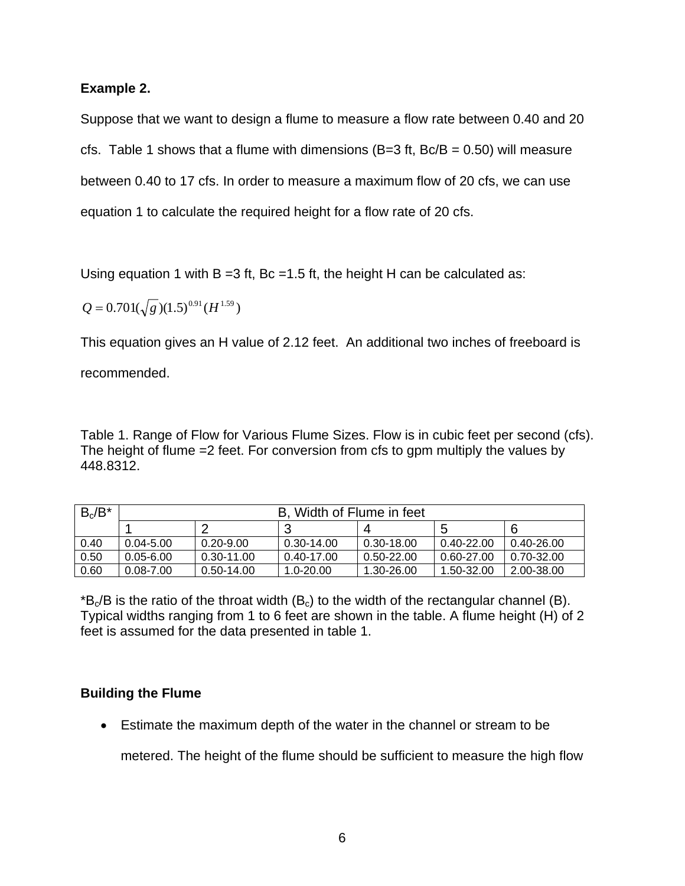### **Example 2.**

Suppose that we want to design a flume to measure a flow rate between 0.40 and 20 cfs. Table 1 shows that a flume with dimensions  $(B=3$  ft,  $Bc/B = 0.50)$  will measure between 0.40 to 17 cfs. In order to measure a maximum flow of 20 cfs, we can use equation 1 to calculate the required height for a flow rate of 20 cfs.

Using equation 1 with  $B = 3$  ft,  $Bc = 1.5$  ft, the height H can be calculated as:

$$
Q = 0.701(\sqrt{g})(1.5)^{0.91}(H^{1.59})
$$

This equation gives an H value of 2.12 feet. An additional two inches of freeboard is

recommended.

Table 1. Range of Flow for Various Flume Sizes. Flow is in cubic feet per second (cfs). The height of flume =2 feet. For conversion from cfs to gpm multiply the values by 448.8312.

| $B_c/B^*$ | B. Width of Flume in feet |                |               |            |                |                |
|-----------|---------------------------|----------------|---------------|------------|----------------|----------------|
|           |                           |                |               |            | 5              | -6             |
| 0.40      | $0.04 - 5.00$             | $0.20 - 9.00$  | 0.30-14.00    | 0.30-18.00 | $0.40 - 22.00$ | 0.40-26.00     |
| 0.50      | $0.05 - 6.00$             | $0.30 - 11.00$ | 0.40-17.00    | 0.50-22.00 | 0.60-27.00     | $0.70 - 32.00$ |
| 0.60      | $0.08 - 7.00$             | 0.50-14.00     | $1.0 - 20.00$ | 1.30-26.00 | 1.50-32.00     | 2.00-38.00     |

 $B<sub>c</sub>/B$  is the ratio of the throat width ( $B<sub>c</sub>$ ) to the width of the rectangular channel (B). Typical widths ranging from 1 to 6 feet are shown in the table. A flume height (H) of 2 feet is assumed for the data presented in table 1.

## **Building the Flume**

• Estimate the maximum depth of the water in the channel or stream to be

metered. The height of the flume should be sufficient to measure the high flow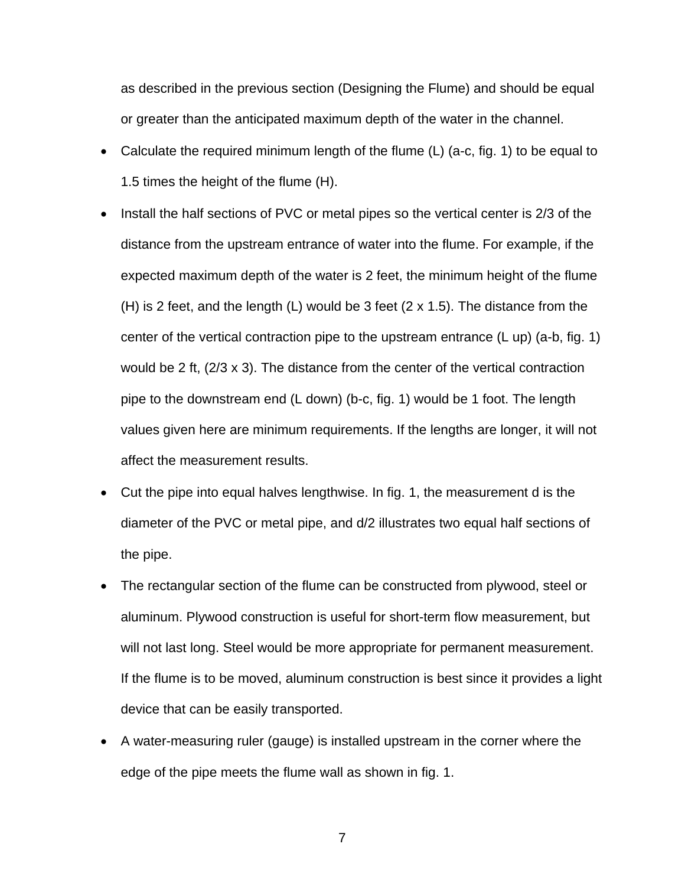as described in the previous section (Designing the Flume) and should be equal or greater than the anticipated maximum depth of the water in the channel.

- Calculate the required minimum length of the flume (L) (a-c, fig. 1) to be equal to 1.5 times the height of the flume (H).
- Install the half sections of PVC or metal pipes so the vertical center is 2/3 of the distance from the upstream entrance of water into the flume. For example, if the expected maximum depth of the water is 2 feet, the minimum height of the flume (H) is 2 feet, and the length (L) would be 3 feet  $(2 \times 1.5)$ . The distance from the center of the vertical contraction pipe to the upstream entrance (L up) (a-b, fig. 1) would be 2 ft, (2/3 x 3). The distance from the center of the vertical contraction pipe to the downstream end (L down) (b-c, fig. 1) would be 1 foot. The length values given here are minimum requirements. If the lengths are longer, it will not affect the measurement results.
- Cut the pipe into equal halves lengthwise. In fig. 1, the measurement d is the diameter of the PVC or metal pipe, and d/2 illustrates two equal half sections of the pipe.
- The rectangular section of the flume can be constructed from plywood, steel or aluminum. Plywood construction is useful for short-term flow measurement, but will not last long. Steel would be more appropriate for permanent measurement. If the flume is to be moved, aluminum construction is best since it provides a light device that can be easily transported.
- A water-measuring ruler (gauge) is installed upstream in the corner where the edge of the pipe meets the flume wall as shown in fig. 1.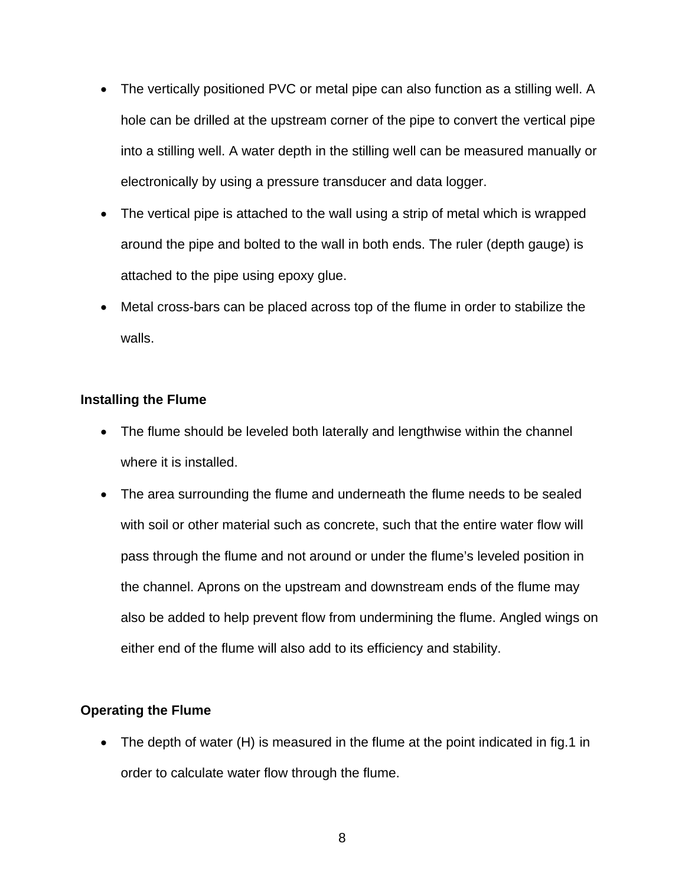- The vertically positioned PVC or metal pipe can also function as a stilling well. A hole can be drilled at the upstream corner of the pipe to convert the vertical pipe into a stilling well. A water depth in the stilling well can be measured manually or electronically by using a pressure transducer and data logger.
- The vertical pipe is attached to the wall using a strip of metal which is wrapped around the pipe and bolted to the wall in both ends. The ruler (depth gauge) is attached to the pipe using epoxy glue.
- Metal cross-bars can be placed across top of the flume in order to stabilize the walls.

# **Installing the Flume**

- The flume should be leveled both laterally and lengthwise within the channel where it is installed.
- The area surrounding the flume and underneath the flume needs to be sealed with soil or other material such as concrete, such that the entire water flow will pass through the flume and not around or under the flume's leveled position in the channel. Aprons on the upstream and downstream ends of the flume may also be added to help prevent flow from undermining the flume. Angled wings on either end of the flume will also add to its efficiency and stability.

# **Operating the Flume**

• The depth of water (H) is measured in the flume at the point indicated in fig.1 in order to calculate water flow through the flume.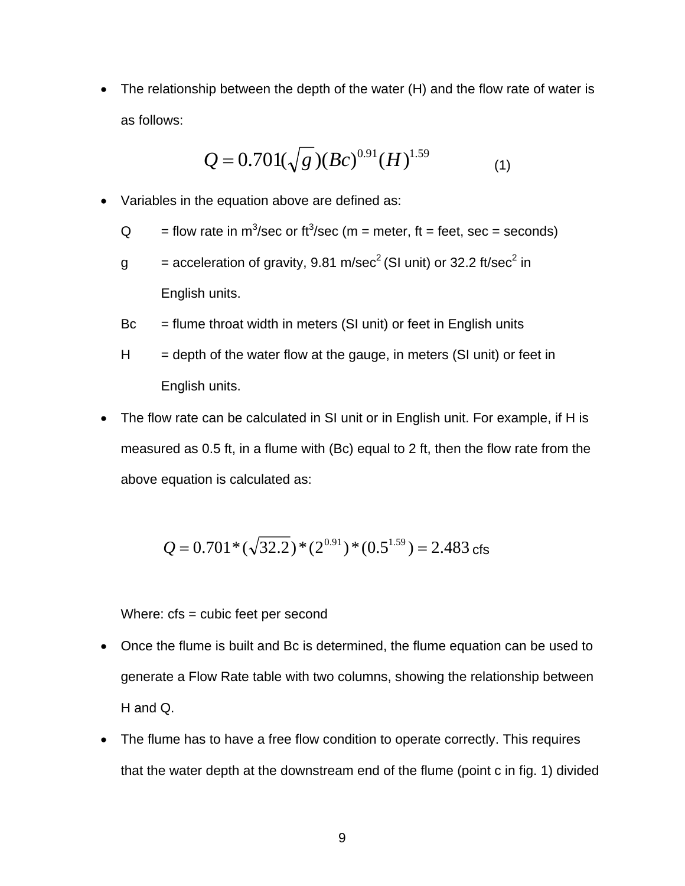• The relationship between the depth of the water (H) and the flow rate of water is as follows:

$$
Q = 0.701(\sqrt{g})(Bc)^{0.91}(H)^{1.59}
$$
 (1)

• Variables in the equation above are defined as:

 Q = flow rate in m3 /sec or ft3 /sec (m = meter, ft = feet, sec = seconds)

- g  $=$  acceleration of gravity, 9.81 m/sec<sup>2</sup> (SI unit) or 32.2 ft/sec<sup>2</sup> in English units.
	- $Bc = flume$  throat width in meters (SI unit) or feet in English units
	- $H =$  depth of the water flow at the gauge, in meters (SI unit) or feet in English units.
	- The flow rate can be calculated in SI unit or in English unit. For example, if H is measured as 0.5 ft, in a flume with (Bc) equal to 2 ft, then the flow rate from the above equation is calculated as:

$$
Q = 0.701 * (\sqrt{32.2}) * (2^{0.91}) * (0.5^{1.59}) = 2.483 \text{ cfs}
$$

Where: cfs = cubic feet per second

- Once the flume is built and Bc is determined, the flume equation can be used to generate a Flow Rate table with two columns, showing the relationship between H and Q.
- The flume has to have a free flow condition to operate correctly. This requires that the water depth at the downstream end of the flume (point c in fig. 1) divided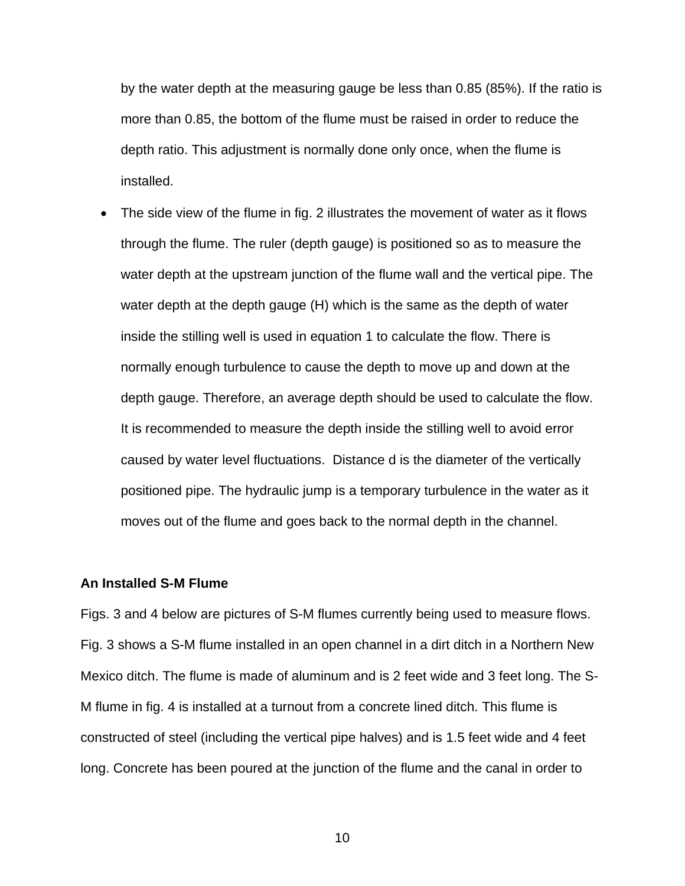by the water depth at the measuring gauge be less than 0.85 (85%). If the ratio is more than 0.85, the bottom of the flume must be raised in order to reduce the depth ratio. This adjustment is normally done only once, when the flume is installed.

The side view of the flume in fig. 2 illustrates the movement of water as it flows through the flume. The ruler (depth gauge) is positioned so as to measure the water depth at the upstream junction of the flume wall and the vertical pipe. The water depth at the depth gauge (H) which is the same as the depth of water inside the stilling well is used in equation 1 to calculate the flow. There is normally enough turbulence to cause the depth to move up and down at the depth gauge. Therefore, an average depth should be used to calculate the flow. It is recommended to measure the depth inside the stilling well to avoid error caused by water level fluctuations. Distance d is the diameter of the vertically positioned pipe. The hydraulic jump is a temporary turbulence in the water as it moves out of the flume and goes back to the normal depth in the channel.

#### **An Installed S-M Flume**

Figs. 3 and 4 below are pictures of S-M flumes currently being used to measure flows. Fig. 3 shows a S-M flume installed in an open channel in a dirt ditch in a Northern New Mexico ditch. The flume is made of aluminum and is 2 feet wide and 3 feet long. The S-M flume in fig. 4 is installed at a turnout from a concrete lined ditch. This flume is constructed of steel (including the vertical pipe halves) and is 1.5 feet wide and 4 feet long. Concrete has been poured at the junction of the flume and the canal in order to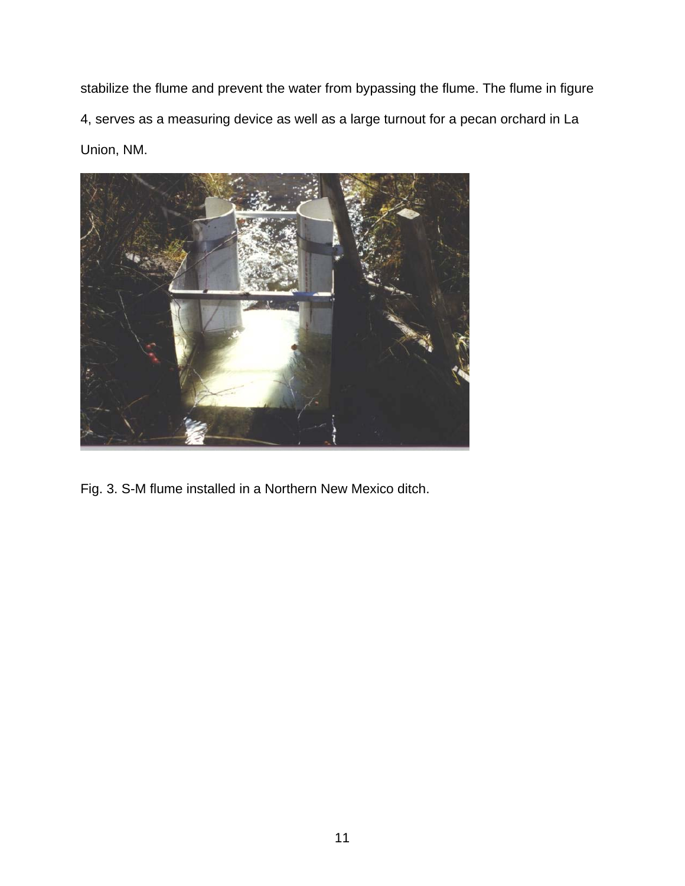stabilize the flume and prevent the water from bypassing the flume. The flume in figure 4, serves as a measuring device as well as a large turnout for a pecan orchard in La Union, NM.



Fig. 3. S-M flume installed in a Northern New Mexico ditch.